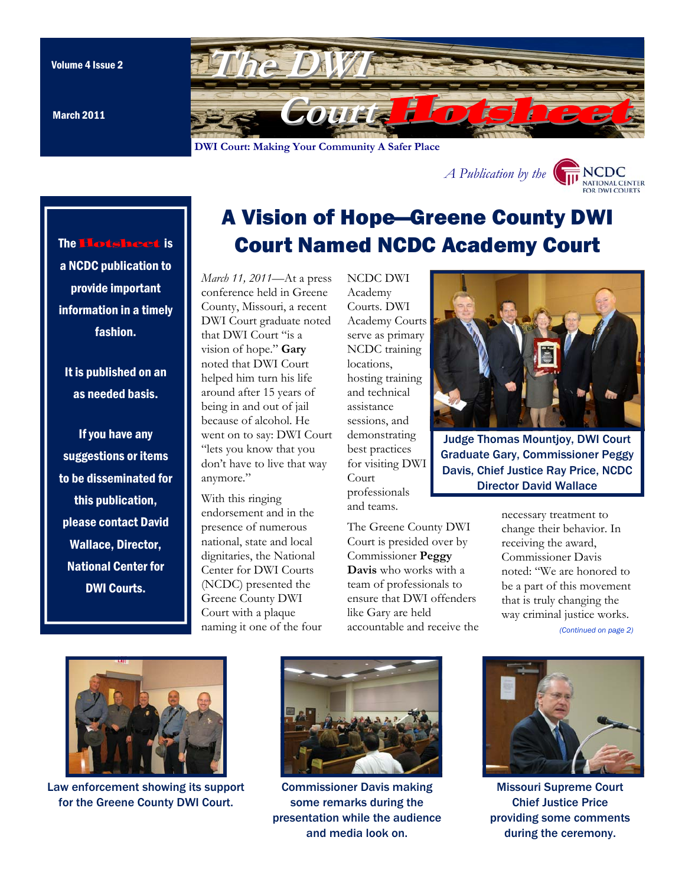March 2011

The Hotsheet is

a NCDC publication to

provide important information in a timely fashion.

It is published on an as needed basis.

If you have any suggestions or items to be disseminated for

this publication, please contact David Wallace, Director, National Center for

DWI Courts.

<span id="page-0-0"></span>

**DWI Court: Making Your Community A Safer Place** 



# A Vision of Hope—Greene County DWI Court Named NCDC Academy Court

*March 11, 2011*—At a press conference held in Greene County, Missouri, a recent DWI Court graduate noted that DWI Court "is a vision of hope." **Gary**  noted that DWI Court helped him turn his life around after 15 years of being in and out of jail because of alcohol. He went on to say: DWI Court "lets you know that you don't have to live that way anymore."

With this ringing endorsement and in the presence of numerous national, state and local dignitaries, the National Center for DWI Courts (NCDC) presented the Greene County DWI Court with a plaque naming it one of the four NCDC DWI Academy Courts. DWI Academy Courts serve as primary NCDC training locations, hosting training and technical assistance sessions, and demonstrating best practices for visiting DWI Court professionals and teams.



Judge Thomas Mountjoy, DWI Court Graduate Gary, Commissioner Peggy Davis, Chief Justice Ray Price, NCDC Director David Wallace

The Greene County DWI Court is presided over by Commissioner **Peggy Davis** who works with a team of professionals to ensure that DWI offenders like Gary are held accountable and receive the necessary treatment to change their behavior. In receiving the award, Commissioner Davis noted: "We are honored to be a part of this movement that is truly changing the way criminal justice works. *[\(Continued on page 2\)](#page-1-0)* 



Law enforcement showing its support for the Greene County DWI Court.



Commissioner Davis making some remarks during the presentation while the audience and media look on.



Missouri Supreme Court Chief Justice Price providing some comments during the ceremony.